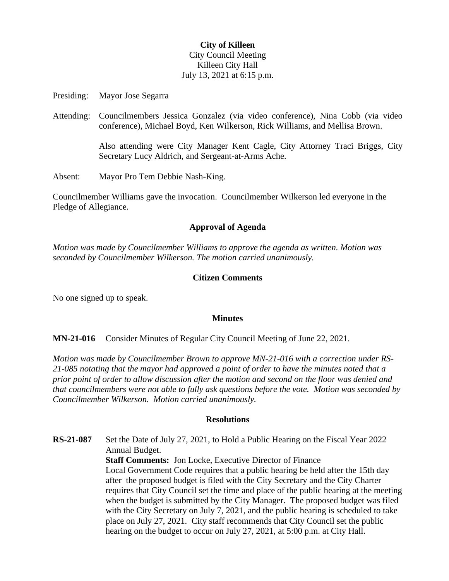# **City of Killeen** City Council Meeting Killeen City Hall July 13, 2021 at 6:15 p.m.

Presiding: Mayor Jose Segarra

Attending: Councilmembers Jessica Gonzalez (via video conference), Nina Cobb (via video conference), Michael Boyd, Ken Wilkerson, Rick Williams, and Mellisa Brown.

> Also attending were City Manager Kent Cagle, City Attorney Traci Briggs, City Secretary Lucy Aldrich, and Sergeant-at-Arms Ache.

Absent: Mayor Pro Tem Debbie Nash-King.

Councilmember Williams gave the invocation. Councilmember Wilkerson led everyone in the Pledge of Allegiance.

### **Approval of Agenda**

*Motion was made by Councilmember Williams to approve the agenda as written. Motion was seconded by Councilmember Wilkerson. The motion carried unanimously.*

#### **Citizen Comments**

No one signed up to speak.

#### **Minutes**

**MN-21-016** Consider Minutes of Regular City Council Meeting of June 22, 2021.

*Motion was made by Councilmember Brown to approve MN-21-016 with a correction under RS-21-085 notating that the mayor had approved a point of order to have the minutes noted that a prior point of order to allow discussion after the motion and second on the floor was denied and that councilmembers were not able to fully ask questions before the vote. Motion was seconded by Councilmember Wilkerson. Motion carried unanimously.*

### **Resolutions**

**RS-21-087** Set the Date of July 27, 2021, to Hold a Public Hearing on the Fiscal Year 2022 Annual Budget.

**Staff Comments:** Jon Locke, Executive Director of Finance Local Government Code requires that a public hearing be held after the 15th day after the proposed budget is filed with the City Secretary and the City Charter requires that City Council set the time and place of the public hearing at the meeting when the budget is submitted by the City Manager. The proposed budget was filed with the City Secretary on July 7, 2021, and the public hearing is scheduled to take place on July 27, 2021. City staff recommends that City Council set the public hearing on the budget to occur on July 27, 2021, at 5:00 p.m. at City Hall.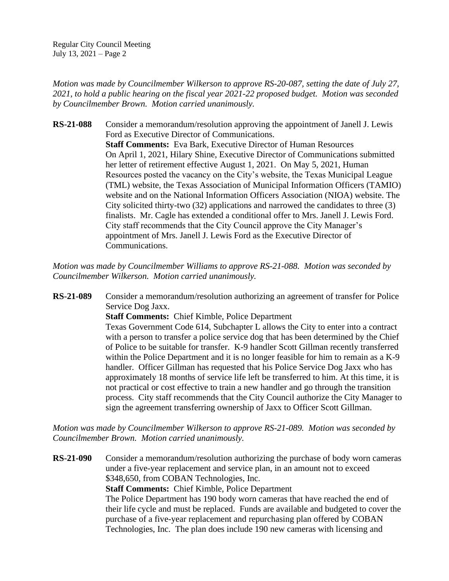Regular City Council Meeting July 13, 2021 – Page 2

*Motion was made by Councilmember Wilkerson to approve RS-20-087, setting the date of July 27, 2021, to hold a public hearing on the fiscal year 2021-22 proposed budget. Motion was seconded by Councilmember Brown. Motion carried unanimously.*

**RS-21-088** Consider a memorandum/resolution approving the appointment of Janell J. Lewis Ford as Executive Director of Communications. **Staff Comments:** Eva Bark, Executive Director of Human Resources On April 1, 2021, Hilary Shine, Executive Director of Communications submitted her letter of retirement effective August 1, 2021. On May 5, 2021, Human Resources posted the vacancy on the City's website, the Texas Municipal League (TML) website, the Texas Association of Municipal Information Officers (TAMIO) website and on the National Information Officers Association (NIOA) website. The City solicited thirty-two (32) applications and narrowed the candidates to three (3) finalists. Mr. Cagle has extended a conditional offer to Mrs. Janell J. Lewis Ford. City staff recommends that the City Council approve the City Manager's appointment of Mrs. Janell J. Lewis Ford as the Executive Director of Communications.

*Motion was made by Councilmember Williams to approve RS-21-088. Motion was seconded by Councilmember Wilkerson. Motion carried unanimously.*

**RS-21-089** Consider a memorandum/resolution authorizing an agreement of transfer for Police Service Dog Jaxx.

**Staff Comments:** Chief Kimble, Police Department

Texas Government Code 614, Subchapter L allows the City to enter into a contract with a person to transfer a police service dog that has been determined by the Chief of Police to be suitable for transfer. K-9 handler Scott Gillman recently transferred within the Police Department and it is no longer feasible for him to remain as a K-9 handler. Officer Gillman has requested that his Police Service Dog Jaxx who has approximately 18 months of service life left be transferred to him. At this time, it is not practical or cost effective to train a new handler and go through the transition process. City staff recommends that the City Council authorize the City Manager to sign the agreement transferring ownership of Jaxx to Officer Scott Gillman.

*Motion was made by Councilmember Wilkerson to approve RS-21-089. Motion was seconded by Councilmember Brown. Motion carried unanimously.*

**RS-21-090** Consider a memorandum/resolution authorizing the purchase of body worn cameras under a five-year replacement and service plan, in an amount not to exceed \$348,650, from COBAN Technologies, Inc. **Staff Comments:** Chief Kimble, Police Department The Police Department has 190 body worn cameras that have reached the end of their life cycle and must be replaced. Funds are available and budgeted to cover the purchase of a five-year replacement and repurchasing plan offered by COBAN Technologies, Inc. The plan does include 190 new cameras with licensing and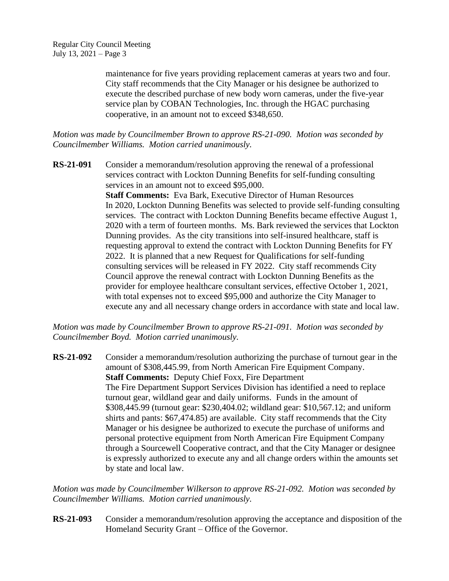maintenance for five years providing replacement cameras at years two and four. City staff recommends that the City Manager or his designee be authorized to execute the described purchase of new body worn cameras, under the five-year service plan by COBAN Technologies, Inc. through the HGAC purchasing cooperative, in an amount not to exceed \$348,650.

*Motion was made by Councilmember Brown to approve RS-21-090. Motion was seconded by Councilmember Williams. Motion carried unanimously.*

**RS-21-091** Consider a memorandum/resolution approving the renewal of a professional services contract with Lockton Dunning Benefits for self-funding consulting services in an amount not to exceed \$95,000. **Staff Comments:** Eva Bark, Executive Director of Human Resources In 2020, Lockton Dunning Benefits was selected to provide self-funding consulting services. The contract with Lockton Dunning Benefits became effective August 1, 2020 with a term of fourteen months. Ms. Bark reviewed the services that Lockton Dunning provides. As the city transitions into self-insured healthcare, staff is requesting approval to extend the contract with Lockton Dunning Benefits for FY 2022. It is planned that a new Request for Qualifications for self-funding consulting services will be released in FY 2022. City staff recommends City Council approve the renewal contract with Lockton Dunning Benefits as the provider for employee healthcare consultant services, effective October 1, 2021, with total expenses not to exceed \$95,000 and authorize the City Manager to execute any and all necessary change orders in accordance with state and local law.

*Motion was made by Councilmember Brown to approve RS-21-091. Motion was seconded by Councilmember Boyd. Motion carried unanimously.*

**RS-21-092** Consider a memorandum/resolution authorizing the purchase of turnout gear in the amount of \$308,445.99, from North American Fire Equipment Company. **Staff Comments:** Deputy Chief Foxx, Fire Department The Fire Department Support Services Division has identified a need to replace turnout gear, wildland gear and daily uniforms. Funds in the amount of \$308,445.99 (turnout gear: \$230,404.02; wildland gear: \$10,567.12; and uniform shirts and pants: \$67,474.85) are available. City staff recommends that the City Manager or his designee be authorized to execute the purchase of uniforms and personal protective equipment from North American Fire Equipment Company through a Sourcewell Cooperative contract, and that the City Manager or designee is expressly authorized to execute any and all change orders within the amounts set by state and local law.

*Motion was made by Councilmember Wilkerson to approve RS-21-092. Motion was seconded by Councilmember Williams. Motion carried unanimously.*

**RS-21-093** Consider a memorandum/resolution approving the acceptance and disposition of the Homeland Security Grant – Office of the Governor.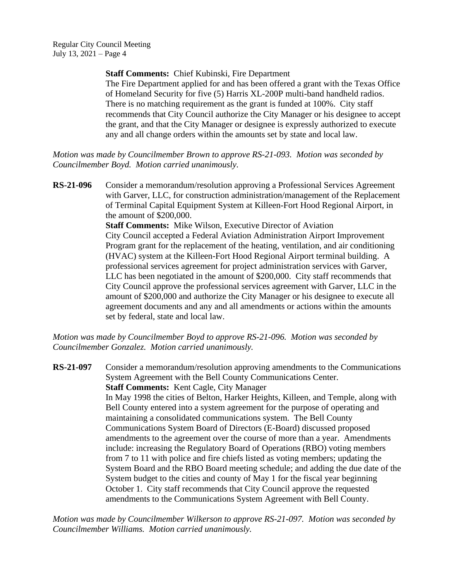**Staff Comments:** Chief Kubinski, Fire Department

The Fire Department applied for and has been offered a grant with the Texas Office of Homeland Security for five (5) Harris XL-200P multi-band handheld radios. There is no matching requirement as the grant is funded at 100%. City staff recommends that City Council authorize the City Manager or his designee to accept the grant, and that the City Manager or designee is expressly authorized to execute any and all change orders within the amounts set by state and local law.

*Motion was made by Councilmember Brown to approve RS-21-093. Motion was seconded by Councilmember Boyd. Motion carried unanimously.*

**RS-21-096** Consider a memorandum/resolution approving a Professional Services Agreement with Garver, LLC, for construction administration/management of the Replacement of Terminal Capital Equipment System at Killeen-Fort Hood Regional Airport, in the amount of \$200,000. **Staff Comments:** Mike Wilson, Executive Director of Aviation City Council accepted a Federal Aviation Administration Airport Improvement Program grant for the replacement of the heating, ventilation, and air conditioning (HVAC) system at the Killeen-Fort Hood Regional Airport terminal building. A professional services agreement for project administration services with Garver, LLC has been negotiated in the amount of \$200,000. City staff recommends that City Council approve the professional services agreement with Garver, LLC in the amount of \$200,000 and authorize the City Manager or his designee to execute all agreement documents and any and all amendments or actions within the amounts set by federal, state and local law.

*Motion was made by Councilmember Boyd to approve RS-21-096. Motion was seconded by Councilmember Gonzalez. Motion carried unanimously.*

**RS-21-097** Consider a memorandum/resolution approving amendments to the Communications System Agreement with the Bell County Communications Center. **Staff Comments:** Kent Cagle, City Manager In May 1998 the cities of Belton, Harker Heights, Killeen, and Temple, along with Bell County entered into a system agreement for the purpose of operating and maintaining a consolidated communications system. The Bell County Communications System Board of Directors (E-Board) discussed proposed amendments to the agreement over the course of more than a year. Amendments include: increasing the Regulatory Board of Operations (RBO) voting members from 7 to 11 with police and fire chiefs listed as voting members; updating the System Board and the RBO Board meeting schedule; and adding the due date of the System budget to the cities and county of May 1 for the fiscal year beginning October 1. City staff recommends that City Council approve the requested amendments to the Communications System Agreement with Bell County.

*Motion was made by Councilmember Wilkerson to approve RS-21-097. Motion was seconded by Councilmember Williams. Motion carried unanimously.*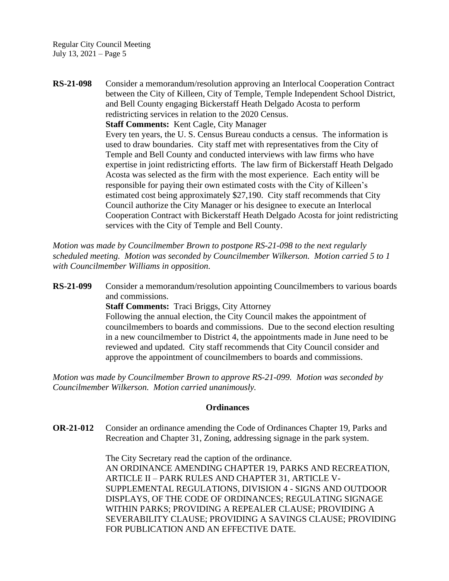Regular City Council Meeting July 13, 2021 – Page 5

**RS-21-098** Consider a memorandum/resolution approving an Interlocal Cooperation Contract between the City of Killeen, City of Temple, Temple Independent School District, and Bell County engaging Bickerstaff Heath Delgado Acosta to perform redistricting services in relation to the 2020 Census. **Staff Comments:** Kent Cagle, City Manager Every ten years, the U. S. Census Bureau conducts a census. The information is used to draw boundaries. City staff met with representatives from the City of Temple and Bell County and conducted interviews with law firms who have expertise in joint redistricting efforts. The law firm of Bickerstaff Heath Delgado Acosta was selected as the firm with the most experience. Each entity will be responsible for paying their own estimated costs with the City of Killeen's estimated cost being approximately \$27,190. City staff recommends that City Council authorize the City Manager or his designee to execute an Interlocal Cooperation Contract with Bickerstaff Heath Delgado Acosta for joint redistricting services with the City of Temple and Bell County.

*Motion was made by Councilmember Brown to postpone RS-21-098 to the next regularly scheduled meeting. Motion was seconded by Councilmember Wilkerson. Motion carried 5 to 1 with Councilmember Williams in opposition.*

**RS-21-099** Consider a memorandum/resolution appointing Councilmembers to various boards and commissions. **Staff Comments:** Traci Briggs, City Attorney Following the annual election, the City Council makes the appointment of councilmembers to boards and commissions. Due to the second election resulting in a new councilmember to District 4, the appointments made in June need to be reviewed and updated. City staff recommends that City Council consider and approve the appointment of councilmembers to boards and commissions.

*Motion was made by Councilmember Brown to approve RS-21-099. Motion was seconded by Councilmember Wilkerson. Motion carried unanimously.*

### **Ordinances**

**OR-21-012** Consider an ordinance amending the Code of Ordinances Chapter 19, Parks and Recreation and Chapter 31, Zoning, addressing signage in the park system.

> The City Secretary read the caption of the ordinance. AN ORDINANCE AMENDING CHAPTER 19, PARKS AND RECREATION, ARTICLE II – PARK RULES AND CHAPTER 31, ARTICLE V-SUPPLEMENTAL REGULATIONS, DIVISION 4 - SIGNS AND OUTDOOR DISPLAYS, OF THE CODE OF ORDINANCES; REGULATING SIGNAGE WITHIN PARKS; PROVIDING A REPEALER CLAUSE; PROVIDING A SEVERABILITY CLAUSE; PROVIDING A SAVINGS CLAUSE; PROVIDING FOR PUBLICATION AND AN EFFECTIVE DATE.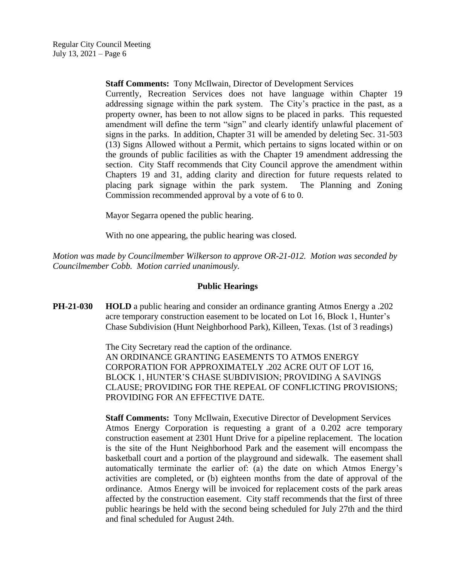**Staff Comments:** Tony McIlwain, Director of Development Services

Currently, Recreation Services does not have language within Chapter 19 addressing signage within the park system. The City's practice in the past, as a property owner, has been to not allow signs to be placed in parks. This requested amendment will define the term "sign" and clearly identify unlawful placement of signs in the parks. In addition, Chapter 31 will be amended by deleting Sec. 31-503 (13) Signs Allowed without a Permit, which pertains to signs located within or on the grounds of public facilities as with the Chapter 19 amendment addressing the section. City Staff recommends that City Council approve the amendment within Chapters 19 and 31, adding clarity and direction for future requests related to placing park signage within the park system. The Planning and Zoning Commission recommended approval by a vote of 6 to 0.

Mayor Segarra opened the public hearing.

With no one appearing, the public hearing was closed.

*Motion was made by Councilmember Wilkerson to approve OR-21-012. Motion was seconded by Councilmember Cobb. Motion carried unanimously.*

# **Public Hearings**

**PH-21-030 HOLD** a public hearing and consider an ordinance granting Atmos Energy a .202 acre temporary construction easement to be located on Lot 16, Block 1, Hunter's Chase Subdivision (Hunt Neighborhood Park), Killeen, Texas. (1st of 3 readings)

> The City Secretary read the caption of the ordinance. AN ORDINANCE GRANTING EASEMENTS TO ATMOS ENERGY CORPORATION FOR APPROXIMATELY .202 ACRE OUT OF LOT 16, BLOCK 1, HUNTER'S CHASE SUBDIVISION; PROVIDING A SAVINGS CLAUSE; PROVIDING FOR THE REPEAL OF CONFLICTING PROVISIONS; PROVIDING FOR AN EFFECTIVE DATE.

**Staff Comments:** Tony McIlwain, Executive Director of Development Services Atmos Energy Corporation is requesting a grant of a 0.202 acre temporary construction easement at 2301 Hunt Drive for a pipeline replacement. The location is the site of the Hunt Neighborhood Park and the easement will encompass the basketball court and a portion of the playground and sidewalk. The easement shall automatically terminate the earlier of: (a) the date on which Atmos Energy's activities are completed, or (b) eighteen months from the date of approval of the ordinance. Atmos Energy will be invoiced for replacement costs of the park areas affected by the construction easement. City staff recommends that the first of three public hearings be held with the second being scheduled for July 27th and the third and final scheduled for August 24th.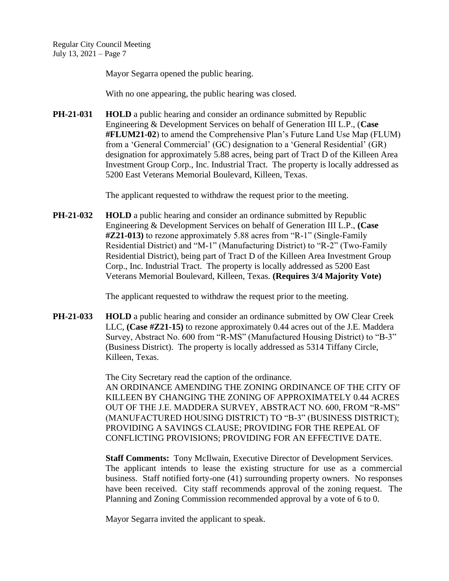Mayor Segarra opened the public hearing.

With no one appearing, the public hearing was closed.

**PH-21-031 HOLD** a public hearing and consider an ordinance submitted by Republic Engineering & Development Services on behalf of Generation III L.P., (**Case #FLUM21-02**) to amend the Comprehensive Plan's Future Land Use Map (FLUM) from a 'General Commercial' (GC) designation to a 'General Residential' (GR) designation for approximately 5.88 acres, being part of Tract D of the Killeen Area Investment Group Corp., Inc. Industrial Tract. The property is locally addressed as 5200 East Veterans Memorial Boulevard, Killeen, Texas.

The applicant requested to withdraw the request prior to the meeting.

**PH-21-032 HOLD** a public hearing and consider an ordinance submitted by Republic Engineering & Development Services on behalf of Generation III L.P., **(Case #Z21-013)** to rezone approximately 5.88 acres from "R-1" (Single-Family Residential District) and "M-1" (Manufacturing District) to "R-2" (Two-Family Residential District), being part of Tract D of the Killeen Area Investment Group Corp., Inc. Industrial Tract. The property is locally addressed as 5200 East Veterans Memorial Boulevard, Killeen, Texas. **(Requires 3/4 Majority Vote)**

The applicant requested to withdraw the request prior to the meeting.

**PH-21-033 HOLD** a public hearing and consider an ordinance submitted by OW Clear Creek LLC, **(Case #Z21-15)** to rezone approximately 0.44 acres out of the J.E. Maddera Survey, Abstract No. 600 from "R-MS" (Manufactured Housing District) to "B-3" (Business District). The property is locally addressed as 5314 Tiffany Circle, Killeen, Texas.

> The City Secretary read the caption of the ordinance. AN ORDINANCE AMENDING THE ZONING ORDINANCE OF THE CITY OF KILLEEN BY CHANGING THE ZONING OF APPROXIMATELY 0.44 ACRES OUT OF THE J.E. MADDERA SURVEY, ABSTRACT NO. 600, FROM "R-MS" (MANUFACTURED HOUSING DISTRICT) TO "B-3" (BUSINESS DISTRICT); PROVIDING A SAVINGS CLAUSE; PROVIDING FOR THE REPEAL OF CONFLICTING PROVISIONS; PROVIDING FOR AN EFFECTIVE DATE.

> **Staff Comments:** Tony McIlwain, Executive Director of Development Services. The applicant intends to lease the existing structure for use as a commercial business. Staff notified forty-one (41) surrounding property owners. No responses have been received. City staff recommends approval of the zoning request. The Planning and Zoning Commission recommended approval by a vote of 6 to 0.

Mayor Segarra invited the applicant to speak.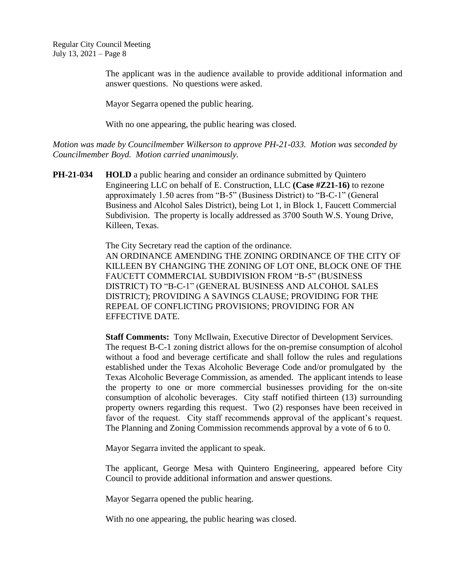The applicant was in the audience available to provide additional information and answer questions. No questions were asked.

Mayor Segarra opened the public hearing.

With no one appearing, the public hearing was closed.

*Motion was made by Councilmember Wilkerson to approve PH-21-033. Motion was seconded by Councilmember Boyd. Motion carried unanimously.*

**PH-21-034 HOLD** a public hearing and consider an ordinance submitted by Quintero Engineering LLC on behalf of E. Construction, LLC **(Case #Z21-16)** to rezone approximately 1.50 acres from "B-5" (Business District) to "B-C-1" (General Business and Alcohol Sales District), being Lot 1, in Block 1, Faucett Commercial Subdivision. The property is locally addressed as 3700 South W.S. Young Drive, Killeen, Texas.

> The City Secretary read the caption of the ordinance. AN ORDINANCE AMENDING THE ZONING ORDINANCE OF THE CITY OF KILLEEN BY CHANGING THE ZONING OF LOT ONE, BLOCK ONE OF THE FAUCETT COMMERCIAL SUBDIVISION FROM "B-5" (BUSINESS DISTRICT) TO "B-C-1" (GENERAL BUSINESS AND ALCOHOL SALES DISTRICT); PROVIDING A SAVINGS CLAUSE; PROVIDING FOR THE REPEAL OF CONFLICTING PROVISIONS; PROVIDING FOR AN EFFECTIVE DATE.

> **Staff Comments:** Tony McIlwain, Executive Director of Development Services. The request B-C-1 zoning district allows for the on-premise consumption of alcohol without a food and beverage certificate and shall follow the rules and regulations established under the Texas Alcoholic Beverage Code and/or promulgated by the Texas Alcoholic Beverage Commission, as amended. The applicant intends to lease the property to one or more commercial businesses providing for the on-site consumption of alcoholic beverages. City staff notified thirteen (13) surrounding property owners regarding this request. Two (2) responses have been received in favor of the request. City staff recommends approval of the applicant's request. The Planning and Zoning Commission recommends approval by a vote of 6 to 0.

Mayor Segarra invited the applicant to speak.

The applicant, George Mesa with Quintero Engineering, appeared before City Council to provide additional information and answer questions.

Mayor Segarra opened the public hearing.

With no one appearing, the public hearing was closed.